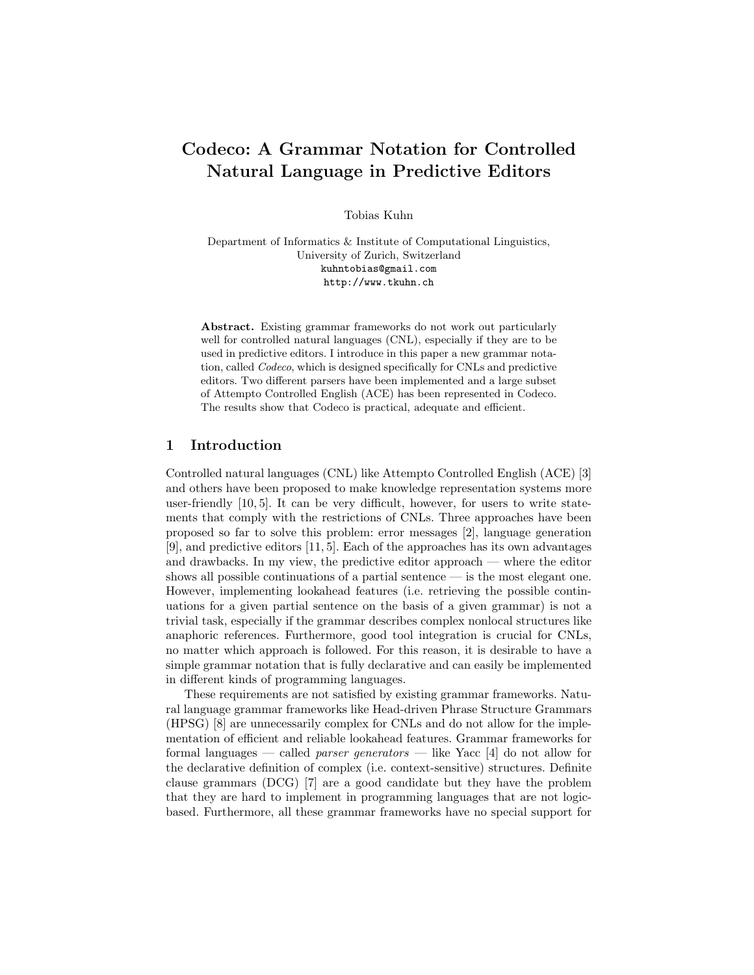# Codeco: A Grammar Notation for Controlled Natural Language in Predictive Editors

Tobias Kuhn

Department of Informatics & Institute of Computational Linguistics, University of Zurich, Switzerland kuhntobias@gmail.com http://www.tkuhn.ch

Abstract. Existing grammar frameworks do not work out particularly well for controlled natural languages (CNL), especially if they are to be used in predictive editors. I introduce in this paper a new grammar notation, called Codeco, which is designed specifically for CNLs and predictive editors. Two different parsers have been implemented and a large subset of Attempto Controlled English (ACE) has been represented in Codeco. The results show that Codeco is practical, adequate and efficient.

## 1 Introduction

Controlled natural languages (CNL) like Attempto Controlled English (ACE) [3] and others have been proposed to make knowledge representation systems more user-friendly  $[10, 5]$ . It can be very difficult, however, for users to write statements that comply with the restrictions of CNLs. Three approaches have been proposed so far to solve this problem: error messages [2], language generation [9], and predictive editors [11, 5]. Each of the approaches has its own advantages and drawbacks. In my view, the predictive editor approach — where the editor shows all possible continuations of a partial sentence — is the most elegant one. However, implementing lookahead features (i.e. retrieving the possible continuations for a given partial sentence on the basis of a given grammar) is not a trivial task, especially if the grammar describes complex nonlocal structures like anaphoric references. Furthermore, good tool integration is crucial for CNLs, no matter which approach is followed. For this reason, it is desirable to have a simple grammar notation that is fully declarative and can easily be implemented in different kinds of programming languages.

These requirements are not satisfied by existing grammar frameworks. Natural language grammar frameworks like Head-driven Phrase Structure Grammars (HPSG) [8] are unnecessarily complex for CNLs and do not allow for the implementation of efficient and reliable lookahead features. Grammar frameworks for formal languages — called *parser generators* — like Yacc [4] do not allow for the declarative definition of complex (i.e. context-sensitive) structures. Definite clause grammars (DCG) [7] are a good candidate but they have the problem that they are hard to implement in programming languages that are not logicbased. Furthermore, all these grammar frameworks have no special support for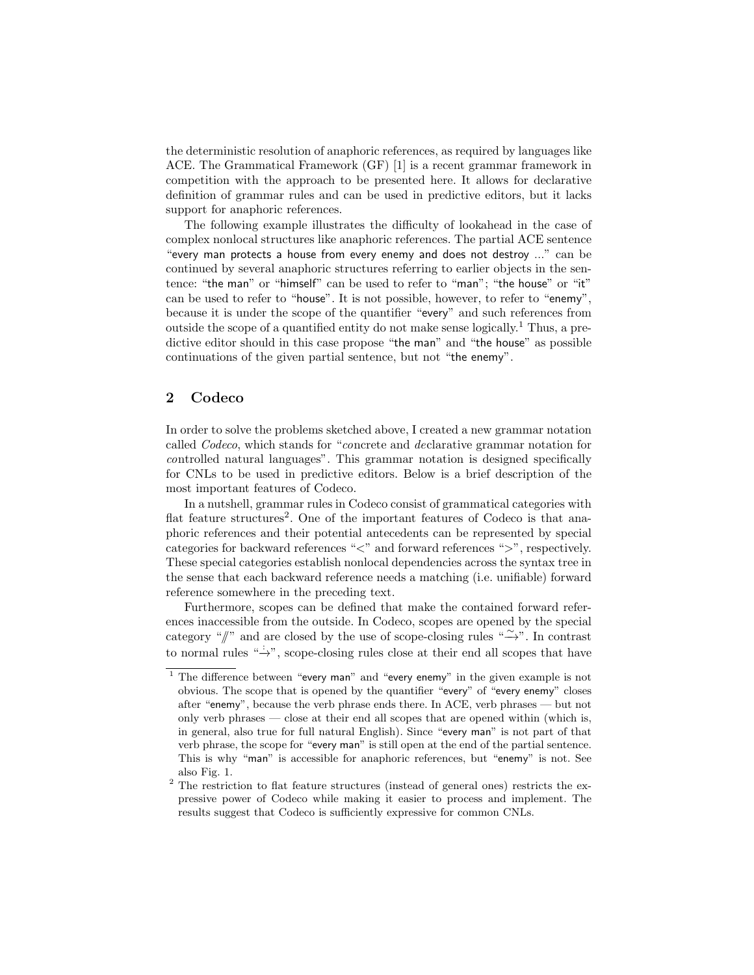the deterministic resolution of anaphoric references, as required by languages like ACE. The Grammatical Framework (GF) [1] is a recent grammar framework in competition with the approach to be presented here. It allows for declarative definition of grammar rules and can be used in predictive editors, but it lacks support for anaphoric references.

The following example illustrates the difficulty of lookahead in the case of complex nonlocal structures like anaphoric references. The partial ACE sentence "every man protects a house from every enemy and does not destroy ..." can be continued by several anaphoric structures referring to earlier objects in the sentence: "the man" or "himself" can be used to refer to "man"; "the house" or "it" can be used to refer to "house". It is not possible, however, to refer to "enemy", because it is under the scope of the quantifier "every" and such references from outside the scope of a quantified entity do not make sense logically.<sup>1</sup> Thus, a predictive editor should in this case propose "the man" and "the house" as possible continuations of the given partial sentence, but not "the enemy".

## 2 Codeco

In order to solve the problems sketched above, I created a new grammar notation called Codeco, which stands for "concrete and declarative grammar notation for controlled natural languages". This grammar notation is designed specifically for CNLs to be used in predictive editors. Below is a brief description of the most important features of Codeco.

In a nutshell, grammar rules in Codeco consist of grammatical categories with flat feature structures<sup>2</sup>. One of the important features of Codeco is that anaphoric references and their potential antecedents can be represented by special categories for backward references "<" and forward references ">", respectively. These special categories establish nonlocal dependencies across the syntax tree in the sense that each backward reference needs a matching (i.e. unifiable) forward reference somewhere in the preceding text.

Furthermore, scopes can be defined that make the contained forward references inaccessible from the outside. In Codeco, scopes are opened by the special category "/" and are closed by the use of scope-closing rules " $\rightarrow$ ". In contrast to normal rules " $\rightarrow$ ", scope-closing rules close at their end all scopes that have

 $1$  The difference between "every man" and "every enemy" in the given example is not obvious. The scope that is opened by the quantifier "every" of "every enemy" closes after "enemy", because the verb phrase ends there. In ACE, verb phrases — but not only verb phrases — close at their end all scopes that are opened within (which is, in general, also true for full natural English). Since "every man" is not part of that verb phrase, the scope for "every man" is still open at the end of the partial sentence. This is why "man" is accessible for anaphoric references, but "enemy" is not. See also Fig. 1.

<sup>&</sup>lt;sup>2</sup> The restriction to flat feature structures (instead of general ones) restricts the expressive power of Codeco while making it easier to process and implement. The results suggest that Codeco is sufficiently expressive for common CNLs.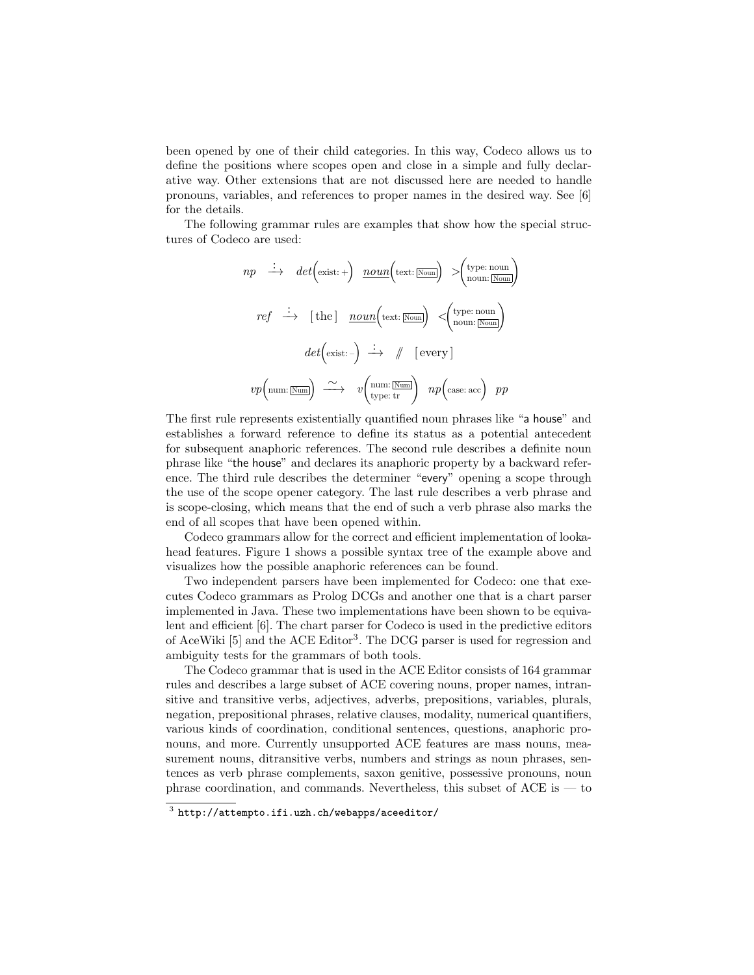been opened by one of their child categories. In this way, Codeco allows us to define the positions where scopes open and close in a simple and fully declarative way. Other extensions that are not discussed here are needed to handle pronouns, variables, and references to proper names in the desired way. See [6] for the details.

The following grammar rules are examples that show how the special structures of Codeco are used:

$$
np \xrightarrow{\cdot} det\left(\text{exist:}+\right) \underline{noun}\left(\text{text:}\overline{\text{Noun}}\right) > \begin{pmatrix} \text{type: noun} \\ \text{noun:}\overline{\text{Noun}} \end{pmatrix}
$$
\n
$$
ref \xrightarrow{\cdot} [the] \underline{noun}\left(\text{text:}\overline{\text{Noun}}\right) < \begin{pmatrix} \text{type: noun} \\ \text{noun:}\overline{\text{Noun}} \end{pmatrix}
$$
\n
$$
det\left(\text{exist:} -\right) \xrightarrow{\cdot} \text{# } \text{[every]}
$$
\n
$$
vp\left(\text{num:}\overline{\text{Num}}\right) \xrightarrow{\sim} v\left(\text{num:}\overline{\text{Num}}\right) \text{ } np\left(\text{case: acc}\right) \text{ } pp
$$

The first rule represents existentially quantified noun phrases like "a house" and establishes a forward reference to define its status as a potential antecedent for subsequent anaphoric references. The second rule describes a definite noun phrase like "the house" and declares its anaphoric property by a backward reference. The third rule describes the determiner "every" opening a scope through the use of the scope opener category. The last rule describes a verb phrase and is scope-closing, which means that the end of such a verb phrase also marks the end of all scopes that have been opened within.

Codeco grammars allow for the correct and efficient implementation of lookahead features. Figure 1 shows a possible syntax tree of the example above and visualizes how the possible anaphoric references can be found.

Two independent parsers have been implemented for Codeco: one that executes Codeco grammars as Prolog DCGs and another one that is a chart parser implemented in Java. These two implementations have been shown to be equivalent and efficient [6]. The chart parser for Codeco is used in the predictive editors of AceWiki [5] and the ACE Editor<sup>3</sup>. The DCG parser is used for regression and ambiguity tests for the grammars of both tools.

The Codeco grammar that is used in the ACE Editor consists of 164 grammar rules and describes a large subset of ACE covering nouns, proper names, intransitive and transitive verbs, adjectives, adverbs, prepositions, variables, plurals, negation, prepositional phrases, relative clauses, modality, numerical quantifiers, various kinds of coordination, conditional sentences, questions, anaphoric pronouns, and more. Currently unsupported ACE features are mass nouns, measurement nouns, ditransitive verbs, numbers and strings as noun phrases, sentences as verb phrase complements, saxon genitive, possessive pronouns, noun phrase coordination, and commands. Nevertheless, this subset of  $ACE$  is  $-$  to

 $^3$  http://attempto.ifi.uzh.ch/webapps/aceeditor/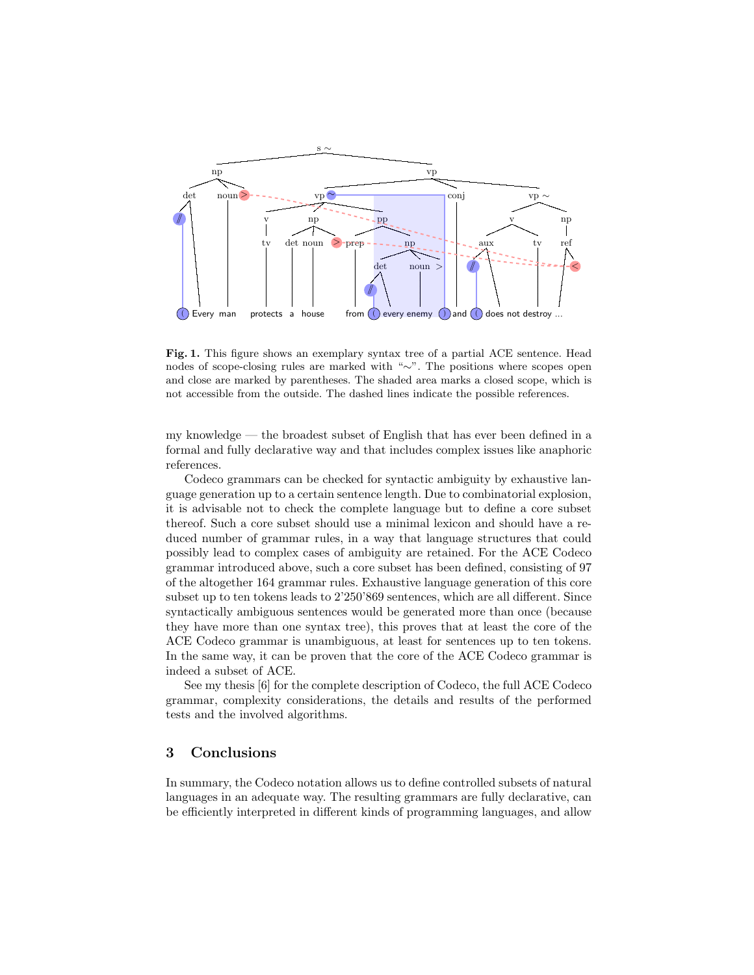

Fig. 1. This figure shows an exemplary syntax tree of a partial ACE sentence. Head nodes of scope-closing rules are marked with "∼". The positions where scopes open and close are marked by parentheses. The shaded area marks a closed scope, which is not accessible from the outside. The dashed lines indicate the possible references.

my knowledge — the broadest subset of English that has ever been defined in a formal and fully declarative way and that includes complex issues like anaphoric references.

Codeco grammars can be checked for syntactic ambiguity by exhaustive language generation up to a certain sentence length. Due to combinatorial explosion, it is advisable not to check the complete language but to define a core subset thereof. Such a core subset should use a minimal lexicon and should have a reduced number of grammar rules, in a way that language structures that could possibly lead to complex cases of ambiguity are retained. For the ACE Codeco grammar introduced above, such a core subset has been defined, consisting of 97 of the altogether 164 grammar rules. Exhaustive language generation of this core subset up to ten tokens leads to 2'250'869 sentences, which are all different. Since syntactically ambiguous sentences would be generated more than once (because they have more than one syntax tree), this proves that at least the core of the ACE Codeco grammar is unambiguous, at least for sentences up to ten tokens. In the same way, it can be proven that the core of the ACE Codeco grammar is indeed a subset of ACE.

See my thesis [6] for the complete description of Codeco, the full ACE Codeco grammar, complexity considerations, the details and results of the performed tests and the involved algorithms.

#### 3 Conclusions

In summary, the Codeco notation allows us to define controlled subsets of natural languages in an adequate way. The resulting grammars are fully declarative, can be efficiently interpreted in different kinds of programming languages, and allow